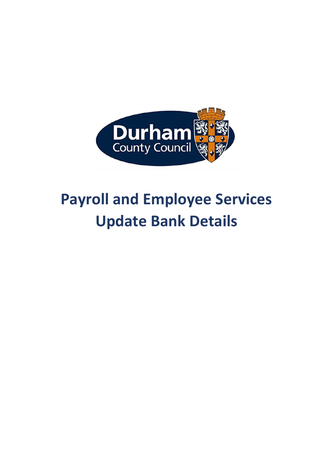

## **Payroll and Employee Services Update Bank Details**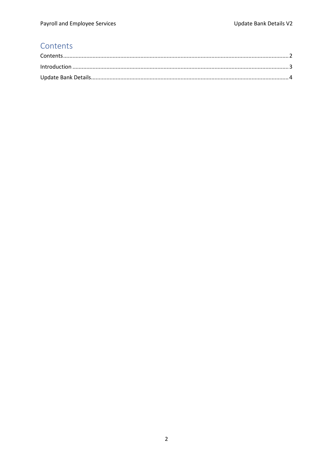## <span id="page-1-0"></span>Contents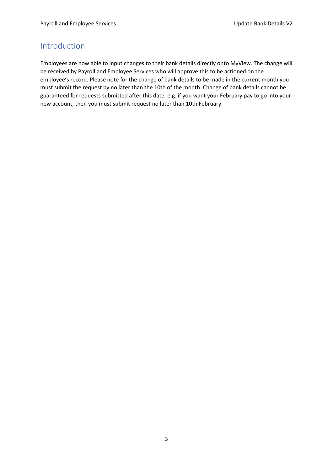## <span id="page-2-0"></span>Introduction

Employees are now able to input changes to their bank details directly onto MyView. The change will be received by Payroll and Employee Services who will approve this to be actioned on the employee's record. Please note for the change of bank details to be made in the current month you must submit the request by no later than the 10th of the month. Change of bank details cannot be guaranteed for requests submitted after this date. e.g. if you want your February pay to go into your new account, then you must submit request no later than 10th February.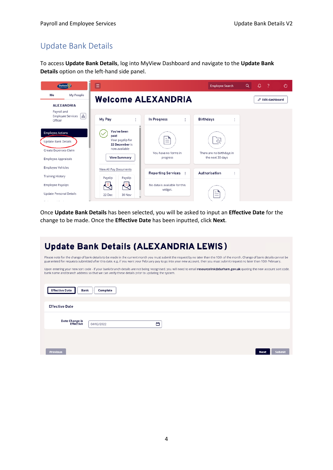## <span id="page-3-0"></span>Update Bank Details

To access **Update Bank Details**, log into MyView Dashboard and navigate to the **Update Bank Details** option on the left-hand side panel.

| Durham                                                                                                       | Ξ                                                                                                                 |                                          | <b>Employee Search</b>                                    | Q | $\circ$ | - 2                      | O |
|--------------------------------------------------------------------------------------------------------------|-------------------------------------------------------------------------------------------------------------------|------------------------------------------|-----------------------------------------------------------|---|---------|--------------------------|---|
| My People<br>Me<br><b>ALEXANDRIA</b>                                                                         |                                                                                                                   | <b>Welcome ALEXANDRIA</b>                |                                                           |   |         | $\oslash$ Edit dashboard |   |
| Payroll and<br>$\pm$<br>Employee Services<br>Officer                                                         | My Pay<br>÷                                                                                                       | In Progress<br>ŧ.                        | <b>Birthdays</b><br>ŧ                                     |   |         |                          |   |
| <b>Employee Actions</b><br><b>Update Bank Details</b><br>Create Expenses Claim<br><b>Employee Appraisals</b> | You've been<br>$\checkmark$<br>paid<br>Your payslip for<br>22 December is<br>now available<br><b>View Summary</b> | ≝<br>You have no forms in<br>progress    | $\alpha$<br>There are no birthdays in<br>the next 30 days |   |         |                          |   |
| <b>Employee Vehicles</b><br><b>Training History</b>                                                          | View All Pay Documents<br>Payslip<br>Payslip                                                                      | Reporting Services :                     | Authorisation<br>t                                        |   |         |                          |   |
| <b>Employee Payslips</b><br><b>Update Personal Details</b>                                                   | U<br>E<br>22 Dec<br>30 Nov                                                                                        | No data is available for this<br>widget. | ≝                                                         |   |         |                          |   |

Once **Update Bank Details** has been selected, you will be asked to input an **Effective Date** for the change to be made. Once the **Effective Date** has been inputted, click **Next**.

| <b>Update Bank Details (ALEXANDRIA LEWIS)</b>                                                                                                                                                                                                                                                                                                                   |
|-----------------------------------------------------------------------------------------------------------------------------------------------------------------------------------------------------------------------------------------------------------------------------------------------------------------------------------------------------------------|
| Please note for the change of bank details to be made in the current month you must submit the request by no later than the 10th of the month. Change of bank details cannot be<br>guaranteed for requests submitted after this date. e.g. if you want your February pay to go into your new account, then you must submit request no later than 10th February. |
| Upon entering your new sort code - if your bank/branch details are not being recognised, you will need to email resourcelink@durham.gov.uk quoting the new account sort code,<br>bank name and branch address so that we can verify these details prior to updating the system.                                                                                 |
|                                                                                                                                                                                                                                                                                                                                                                 |
| <b>Effective Date</b><br>Complete<br>Bank                                                                                                                                                                                                                                                                                                                       |
| <b>Effective Date</b>                                                                                                                                                                                                                                                                                                                                           |
|                                                                                                                                                                                                                                                                                                                                                                 |
| Date Change is<br>首<br><b>Effective</b><br>04/02/2022                                                                                                                                                                                                                                                                                                           |
|                                                                                                                                                                                                                                                                                                                                                                 |
|                                                                                                                                                                                                                                                                                                                                                                 |
| Previous                                                                                                                                                                                                                                                                                                                                                        |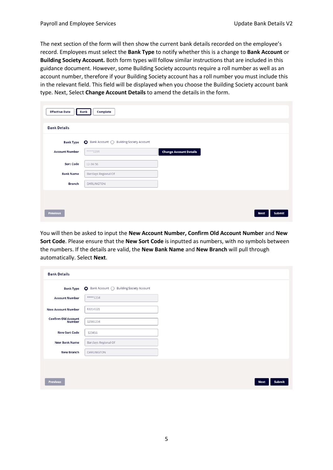The next section of the form will then show the current bank details recorded on the employee's record. Employees must select the **Bank Type** to notify whether this is a change to **Bank Account** or **Building Society Account.** Both form types will follow similar instructions that are included in this guidance document. However, some Building Society accounts require a roll number as well as an account number, therefore if your Building Society account has a roll number you must include this in the relevant field. This field will be displayed when you choose the Building Society account bank type. Next, Select **Change Account Details** to amend the details in the form.

| <b>Effective Date</b> | Complete<br>Bank                          |                               |                       |
|-----------------------|-------------------------------------------|-------------------------------|-----------------------|
| <b>Bank Details</b>   |                                           |                               |                       |
| <b>Bank Type</b>      | ● Bank Account ○ Building Society Account |                               |                       |
| <b>Account Number</b> | $***1234$                                 | <b>Change Account Details</b> |                       |
| <b>Sort Code</b>      | 12-34-56                                  |                               |                       |
| <b>Bank Name</b>      | Barclays Regional Of                      |                               |                       |
| <b>Branch</b>         | DARLINGTON                                |                               |                       |
|                       |                                           |                               |                       |
| <b>Previous</b>       |                                           |                               | Submit<br><b>Next</b> |

You will then be asked to input the **New Account Number, Confirm Old Account Number** and **New Sort Code**. Please ensure that the **New Sort Code** is inputted as numbers, with no symbols between the numbers. If the details are valid, the **New Bank Name** and **New Branch** will pull through automatically. Select **Next**.

| <b>Bank Details</b>                  |                                           |
|--------------------------------------|-------------------------------------------|
| <b>Bank Type</b>                     | ● Bank Account ○ Building Society Account |
| <b>Account Number</b>                | ****1234                                  |
| <b>New Account Number</b>            | 43214321                                  |
| <b>Confirm Old Account</b><br>Number | 12341234                                  |
| <b>New Sort Code</b>                 | 123456                                    |
| <b>New Bank Name</b>                 | <b>Barclays Regional Of</b>               |
| <b>New Branch</b>                    | DARLINGTON                                |
|                                      |                                           |
| <b>Previous</b>                      | <b>Submit</b><br><b>Next</b>              |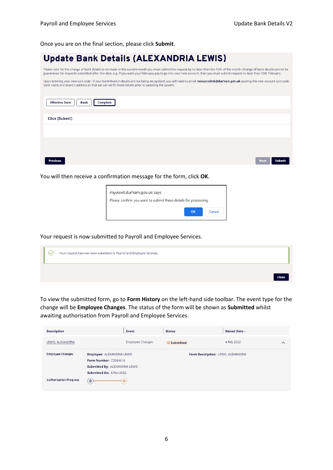Once you are on the final section, please click **Submit**.

| <b>Update Bank Details (ALEXANDRIA LEWIS)</b>                                                                                                                                                                                                                                                                                                                   |
|-----------------------------------------------------------------------------------------------------------------------------------------------------------------------------------------------------------------------------------------------------------------------------------------------------------------------------------------------------------------|
| Please note for the change of bank details to be made in the current month you must submit the request by no later than the 10th of the month. Change of bank details cannot be<br>guaranteed for requests submitted after this date, e.g. if you want your February pay to go into your new account, then you must submit request no later than 10th February. |
| Upon entering your new sort code - if your bank/branch details are not being recognised, you will need to email resourcelink@durham.gov.uk quoting the new account sort code,<br>bank name and branch address so that we can verify these details prior to updating the system.                                                                                 |
|                                                                                                                                                                                                                                                                                                                                                                 |
| <b>Effective Date</b><br>Bank<br>Complete                                                                                                                                                                                                                                                                                                                       |
|                                                                                                                                                                                                                                                                                                                                                                 |
| Click [Submit]                                                                                                                                                                                                                                                                                                                                                  |
|                                                                                                                                                                                                                                                                                                                                                                 |
|                                                                                                                                                                                                                                                                                                                                                                 |
|                                                                                                                                                                                                                                                                                                                                                                 |
| Next<br>Previous<br>Submit                                                                                                                                                                                                                                                                                                                                      |

You will then receive a confirmation message for the form, click **OK**.



Your request is now submitted to Payroll and Employee Services.

| $\checkmark$ | Your request has now been submitted to Payroll and Employee Services. |       |
|--------------|-----------------------------------------------------------------------|-------|
|              |                                                                       | Close |

To view the submitted form, go to **Form History** on the left-hand side toolbar. The event type for the change will be **Employee Changes**. The status of the form will be shown as **Submitted** whilst awaiting authorisation from Payroll and Employee Services.

| <b>Description</b>            | Event                          | <b>Status</b> | Raised Date v                       |          |
|-------------------------------|--------------------------------|---------------|-------------------------------------|----------|
| LEWIS, ALEXANDRIA             | <b>Employee Changes</b>        | Submitted     | 4 Feb 2022                          | $\wedge$ |
| <b>Employee Changes</b>       | Employee: ALEXANDRIA LEWIS     |               | Form Description: LEWIS, ALEXANDRIA |          |
|                               | Form Number: C0044616          |               |                                     |          |
|                               | Submitted By: ALEXANDRIA LEWIS |               |                                     |          |
|                               | Submitted On: 4 Feb 2022       |               |                                     |          |
| <b>Authorisation Progress</b> | $^{\circ}$<br>$\circledcirc$   |               |                                     |          |